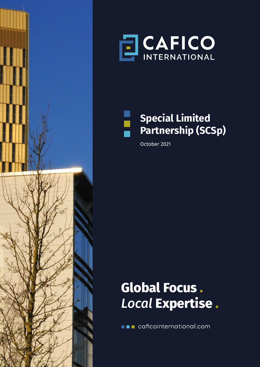





## **Special Limited Partnership (SCSp)**

October 2021

# **Global Focus .**  *Local* **Expertise .**

**THE caficointernational.com**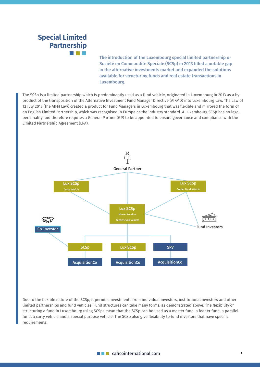## **Special Limited Partnership**

**The introduction of the Luxembourg special limited partnership or Société en Commandite Spéciale (SCSp) in 2013 filled a notable gap in the alternative investments market and expanded the solutions available for structuring funds and real estate transactions in Luxembourg.**

The SCSp is a limited partnership which is predominantly used as a fund vehicle, originated in Luxembourg in 2013 as a byproduct of the transposition of the Alternative Investment Fund Manager Directive (AIFMD) into Luxembourg Law. The Law of 12 July 2013 (the AIFM Law) created a product for Fund Managers in Luxembourg that was flexible and mirrored the form of an English Limited Partnership, which was recognised in Europe as the industry standard. A Luxembourg SCSp has no legal personality and therefore requires a General Partner (GP) to be appointed to ensure governance and compliance with the Limited Partnership Agreement (LPA).



Due to the flexible nature of the SCSp, it permits investments from individual investors, institutional investors and other limited partnerships and fund vehicles. Fund structures can take many forms, as demonstrated above. The flexibility of structuring a fund in Luxembourg using SCSps mean that the SCSp can be used as a master fund, a feeder fund, a parallel fund, a carry vehicle and a special purpose vehicle. The SCSp also give flexibility to fund investors that have specific requirements.

#### $\blacksquare$  caficointernational.com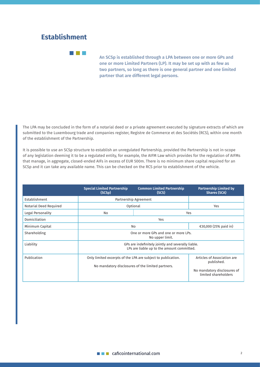#### **Establishment**

**Titul Part** 

**An SCSp is established through a LPA between one or more GPs and one or more Limited Partners (LP). It may be set up with as few as two partners, so long as there is one general partner and one limited partner that are different legal persons.** 

The LPA may be concluded in the form of a notarial deed or a private agreement executed by signature extracts of which are submitted to the Luxembourg trade and companies register, Registre de Commerce et des Sociétés (RCS), within one month of the establishment of the Partnership.

It is possible to use an SCSp structure to establish an unregulated Partnership, provided the Partnership is not in-scope of any legislation deeming it to be a regulated entity, for example, the AIFM Law which provides for the regulation of AIFMs that manage, in aggregate, closed-ended AIFs in excess of EUR 500m. There is no minimum share capital required for an SCSp and it can take any available name. This can be checked on the RCS prior to establishment of the vehicle.

|                        | <b>Special Limited Partnership</b><br>(SCS <sub>p</sub> )                                                         | <b>Common Limited Partnership</b><br>(SCS) | <b>Partnership Limited by</b><br><b>Shares (SCA)</b>                                             |
|------------------------|-------------------------------------------------------------------------------------------------------------------|--------------------------------------------|--------------------------------------------------------------------------------------------------|
| Establishment          | Partnership Agreement                                                                                             |                                            |                                                                                                  |
| Notarial Deed Required | Optional                                                                                                          |                                            | Yes                                                                                              |
| Legal Personality      | No                                                                                                                |                                            | Yes                                                                                              |
| Domiciliation          | Yes                                                                                                               |                                            |                                                                                                  |
| Minimum Capital        | No                                                                                                                |                                            | €30,000 (25% paid in)                                                                            |
| Shareholding           | One or more GPs and one or more LPs.<br>No upper limit.                                                           |                                            |                                                                                                  |
| Liability              | GPs are indefinitely jointly and severally liable.<br>LPs are liable up to the amount committed.                  |                                            |                                                                                                  |
| Publication            | Only limited excerpts of the LPA are subject to publication.<br>No mandatory disclosures of the limited partners. |                                            | Articles of Association are<br>published.<br>No mandatory disclosures of<br>limited shareholders |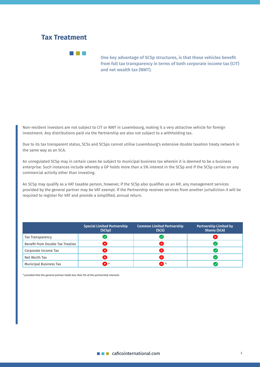#### **Tax Treatment**

and the state

**One key advantage of SCSp structures, is that these vehicles benefit from full tax transparency in terms of both corporate income tax (CIT) and net wealth tax (NWT).** 

Non-resident investors are not subject to CIT or NWT in Luxembourg, making it a very attractive vehicle for foreign investment. Any distributions paid via the Partnership are also not subject to a withholding tax.

Due to its tax transparent status, SCSs and SCSps cannot utilise Luxembourg's extensive double taxation treaty network in the same way as an SCA.

An unregulated SCSp may in certain cases be subject to municipal business tax wherein it is deemed to be a business enterprise. Such instances include whereby a GP holds more than a 5% interest in the SCSp and if the SCSp carries on any commercial activity other than investing.

An SCSp may qualify as a VAT taxable person, however, if the SCSp also qualifies as an AIF, any management services provided by the general partner may be VAT exempt. If the Partnership receives services from another jurisdiction it will be required to register for VAT and provide a simplified, annual return.

|                                  | <b>Special Limited Partnership</b><br>(SCSp) | <b>Common Limited Partnership</b><br>(SCS) | <b>Partnership Limited by</b><br><b>Shares (SCA)</b> |
|----------------------------------|----------------------------------------------|--------------------------------------------|------------------------------------------------------|
| Tax Transparency                 |                                              |                                            | ×                                                    |
| Benefit from Double Tax Treaties |                                              | ∝                                          |                                                      |
| Corporate Income Tax             |                                              | ×                                          |                                                      |
| Net Worth Tax                    |                                              | ×                                          |                                                      |
| Municipal Business Tax           | x.                                           | ☎.                                         |                                                      |

*\* provided that the general partner holds less than 5% of the partnership interests*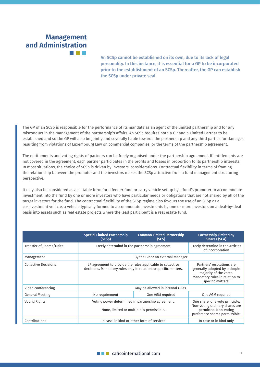## **Management and Administration**

**An SCSp cannot be established on its own, due to its lack of legal personality. In this instance, it is essential for a GP to be incorporated prior to the establishment of an SCSp. Thereafter, the GP can establish the SCSp under private seal.** 

The GP of an SCSp is responsible for the performance of its mandate as an agent of the limited partnership and for any misconduct in the management of the partnership's affairs. An SCSp requires both a GP and a Limited Partner to be established and so the GP will also be jointly and severally liable towards the partnership and any third parties for damages resulting from violations of Luxembourg Law on commercial companies, or the terms of the partnership agreement.

The entitlements and voting rights of partners can be freely organised under the partnership agreement. If entitlements are not covered in the agreement, each partner participates in the profits and losses in proportion to its partnership interests. In most situations, the choice of SCSp is driven by investors' considerations. Contractual flexibility in terms of framing the relationship between the promoter and the investors makes the SCSp attractive from a fund management structuring perspective.

It may also be considered as a suitable form for a feeder fund or carry vehicle set up by a fund's promoter to accommodate investment into the fund by one or more investors who have particular needs or obligations that are not shared by all of the target investors for the fund. The contractual flexibility of the SCSp regime also favours the use of an SCSp as a co-investment vehicle, a vehicle typically formed to accommodate investments by one or more investors on a deal-by-deal basis into assets such as real estate projects where the lead participant is a real estate fund.

|                             | <b>Special Limited Partnership</b><br>(SCS <sub>p</sub> )                                                                      | <b>Common Limited Partnership</b><br>(SCS) | <b>Partnership Limited by</b><br><b>Shares (SCA)</b>                                                                                        |
|-----------------------------|--------------------------------------------------------------------------------------------------------------------------------|--------------------------------------------|---------------------------------------------------------------------------------------------------------------------------------------------|
| Transfer of Shares/Units    | Freely determind in the partnership agreement                                                                                  |                                            | Freely determind in the Articles<br>of Incorporation                                                                                        |
| Management                  | By the GP or an external manager                                                                                               |                                            |                                                                                                                                             |
| <b>Collective Decisions</b> | LP agreement to provide the rules applicable to collective<br>decisions. Mandatory rules only in relation to specific matters. |                                            | Partners' resolutions are<br>generally adopted by a simple<br>majority of the votes.<br>Mandatory rules in relation to<br>specific matters. |
| Video conferencing          | May be allowed in internal rules.                                                                                              |                                            |                                                                                                                                             |
| <b>General Meeting</b>      | No requirement                                                                                                                 | One AGM required                           | One AGM required                                                                                                                            |
| Voting Rights               | Voting power determined in partnership agreement.<br>None, limited or multiple is permissible.                                 |                                            | One share, one vote principle.<br>Non-voting ordinary shares are<br>permitted. Non-voting<br>preference shares permissible.                 |
| Contributions               | In case, in kind or other form of services                                                                                     |                                            | In case or in kind only                                                                                                                     |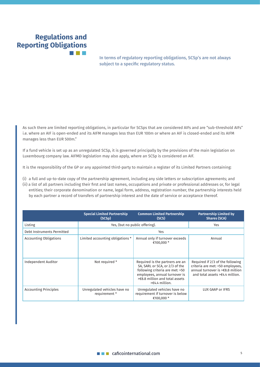## **Regulations and Reporting Obligations**

**In terms of regulatory reporting obligations, SCSp's are not always subject to a specific regulatory status.** 

As such there are limited reporting obligations, in particular for SCSps that are considered AIFs and are "sub-threshold AIFs" i.e. where an AIF is open-ended and its AIFM manages less than EUR 100m or where an AIF is closed-ended and its AIFM manages less than EUR 500m."

If a fund vehicle is set up as an unregulated SCSp, it is governed principally by the provisions of the main legislation on Luxembourg company law. AIFMD legislation may also apply, where an SCSp is considered an AIF.

It is the responsibility of the GP or any appointed third-party to maintain a register of its Limited Partners containing:

(i) a full and up-to-date copy of the partnership agreement, including any side letters or subscription agreements; and (ii) a list of all partners including their first and last names, occupations and private or professional addresses or, for legal entities; their corporate denomination or name, legal form, address, registration number, the partnership interests held by each partner a record of transfers of partnership interest and the date of service or acceptance thereof.

|                               | <b>Special Limited Partnership</b><br>(SCSp)  | <b>Common Limited Partnership</b><br>(SCS)                                                                                                                                                     | <b>Partnership Limited by</b><br><b>Shares (SCA)</b>                                                                                                  |
|-------------------------------|-----------------------------------------------|------------------------------------------------------------------------------------------------------------------------------------------------------------------------------------------------|-------------------------------------------------------------------------------------------------------------------------------------------------------|
| Listing                       | Yes, (but no public offering).                |                                                                                                                                                                                                | Yes                                                                                                                                                   |
| Debt Instruments Permitted    | Yes                                           |                                                                                                                                                                                                |                                                                                                                                                       |
| <b>Accounting Obligations</b> | Limited accounting obligations *              | Annual only if turnover exceeds<br>€100,000 *                                                                                                                                                  | Annual                                                                                                                                                |
| Independent Auditor           | Not required *                                | Required is the partners are an<br>SA, SARL or SCA, or 2/3 of the<br>following criteria are met: >50<br>employees, annual turnover is<br>$\geq 8.8$ million and total assets<br>>€4.4 million. | Required if 2/3 of the following<br>criteria are met: >50 employees,<br>annual turnover is $\geq 8.8$ million<br>and total assets $\geq 4.4$ million. |
| <b>Accounting Principles</b>  | Unregulated vehicles have no<br>requirement * | Unregulated vehicles have no<br>requirement if turnover is below<br>€100,000 *                                                                                                                 | LUX GAAP or IFRS                                                                                                                                      |